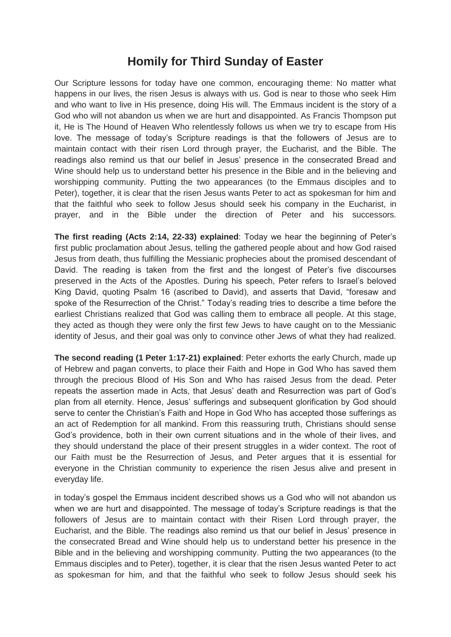## **Homily for Third Sunday of Easter**

Our Scripture lessons for today have one common, encouraging theme: No matter what happens in our lives, the risen Jesus is always with us. God is near to those who seek Him and who want to live in His presence, doing His will. The Emmaus incident is the story of a God who will not abandon us when we are hurt and disappointed. As Francis Thompson put it, He is The Hound of Heaven Who relentlessly follows us when we try to escape from His love. The message of today's Scripture readings is that the followers of Jesus are to maintain contact with their risen Lord through prayer, the Eucharist, and the Bible. The readings also remind us that our belief in Jesus' presence in the consecrated Bread and Wine should help us to understand better his presence in the Bible and in the believing and worshipping community. Putting the two appearances (to the Emmaus disciples and to Peter), together, it is clear that the risen Jesus wants Peter to act as spokesman for him and that the faithful who seek to follow Jesus should seek his company in the Eucharist, in prayer, and in the Bible under the direction of Peter and his successors.

**The first reading (Acts 2:14, 22-33) explained**: Today we hear the beginning of Peter's first public proclamation about Jesus, telling the gathered people about and how God raised Jesus from death, thus fulfilling the Messianic prophecies about the promised descendant of David. The reading is taken from the first and the longest of Peter's five discourses preserved in the Acts of the Apostles. During his speech, Peter refers to Israel's beloved King David, quoting Psalm 16 (ascribed to David), and asserts that David, "foresaw and spoke of the Resurrection of the Christ." Today's reading tries to describe a time before the earliest Christians realized that God was calling them to embrace all people. At this stage, they acted as though they were only the first few Jews to have caught on to the Messianic identity of Jesus, and their goal was only to convince other Jews of what they had realized.

**The second reading (1 Peter 1:17-21) explained**: Peter exhorts the early Church, made up of Hebrew and pagan converts, to place their Faith and Hope in God Who has saved them through the precious Blood of His Son and Who has raised Jesus from the dead. Peter repeats the assertion made in Acts, that Jesus' death and Resurrection was part of God's plan from all eternity. Hence, Jesus' sufferings and subsequent glorification by God should serve to center the Christian's Faith and Hope in God Who has accepted those sufferings as an act of Redemption for all mankind. From this reassuring truth, Christians should sense God's providence, both in their own current situations and in the whole of their lives, and they should understand the place of their present struggles in a wider context. The root of our Faith must be the Resurrection of Jesus, and Peter argues that it is essential for everyone in the Christian community to experience the risen Jesus alive and present in everyday life.

in today's gospel the Emmaus incident described shows us a God who will not abandon us when we are hurt and disappointed. The message of today's Scripture readings is that the followers of Jesus are to maintain contact with their Risen Lord through prayer, the Eucharist, and the Bible. The readings also remind us that our belief in Jesus' presence in the consecrated Bread and Wine should help us to understand better his presence in the Bible and in the believing and worshipping community. Putting the two appearances (to the Emmaus disciples and to Peter), together, it is clear that the risen Jesus wanted Peter to act as spokesman for him, and that the faithful who seek to follow Jesus should seek his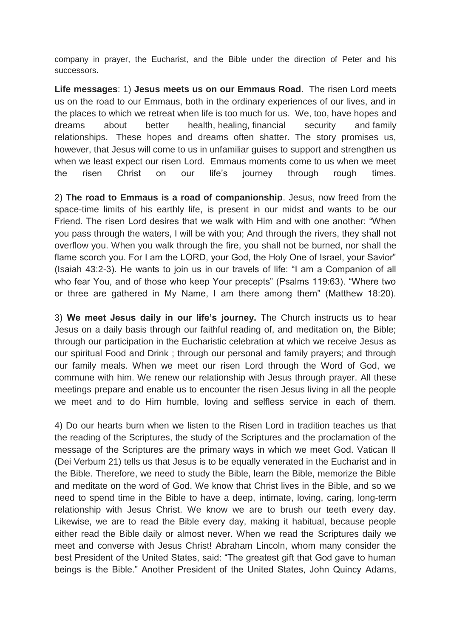company in prayer, the Eucharist, and the Bible under the direction of Peter and his successors.

**Life messages**: 1) **Jesus meets us on our Emmaus Road**. The risen Lord meets us on the road to our Emmaus, both in the ordinary experiences of our lives, and in the places to which we retreat when life is too much for us. We, too, have hopes and dreams about better health, healing, financial security and family relationships. These hopes and dreams often shatter. The story promises us, however, that Jesus will come to us in unfamiliar guises to support and strengthen us when we least expect our risen Lord. Emmaus moments come to us when we meet the risen Christ on our life's journey through rough times.

2) **The road to Emmaus is a road of companionship**. Jesus, now freed from the space-time limits of his earthly life, is present in our midst and wants to be our Friend. The risen Lord desires that we walk with Him and with one another: "When you pass through the waters, I will be with you; And through the rivers, they shall not overflow you. When you walk through the fire, you shall not be burned, nor shall the flame scorch you. For I am the LORD, your God, the Holy One of Israel, your Savior" (Isaiah 43:2-3). He wants to join us in our travels of life: "I am a Companion of all who fear You, and of those who keep Your precepts" (Psalms 119:63). "Where two or three are gathered in My Name, I am there among them" (Matthew 18:20).

3) **We meet Jesus daily in our life's journey.** The Church instructs us to hear Jesus on a daily basis through our faithful reading of, and meditation on, the Bible; through our participation in the Eucharistic celebration at which we receive Jesus as our spiritual Food and Drink ; through our personal and family prayers; and through our family meals. When we meet our risen Lord through the Word of God, we commune with him. We renew our relationship with Jesus through prayer. All these meetings prepare and enable us to encounter the risen Jesus living in all the people we meet and to do Him humble, loving and selfless service in each of them.

4) Do our hearts burn when we listen to the Risen Lord in tradition teaches us that the reading of the Scriptures, the study of the Scriptures and the proclamation of the message of the Scriptures are the primary ways in which we meet God. Vatican II (Dei Verbum 21) tells us that Jesus is to be equally venerated in the Eucharist and in the Bible. Therefore, we need to study the Bible, learn the Bible, memorize the Bible and meditate on the word of God. We know that Christ lives in the Bible, and so we need to spend time in the Bible to have a deep, intimate, loving, caring, long-term relationship with Jesus Christ. We know we are to brush our teeth every day. Likewise, we are to read the Bible every day, making it habitual, because people either read the Bible daily or almost never. When we read the Scriptures daily we meet and converse with Jesus Christ! Abraham Lincoln, whom many consider the best President of the United States, said: "The greatest gift that God gave to human beings is the Bible." Another President of the United States, John Quincy Adams,